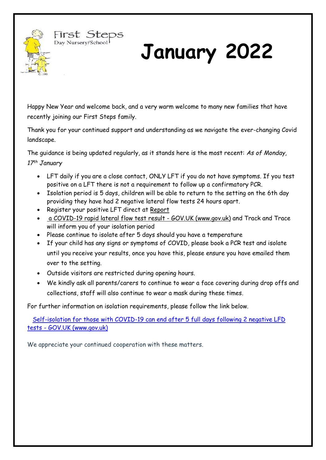

# **January 2022**

Happy New Year and welcome back, and a very warm welcome to many new families that have recently joining our First Steps family.

Thank you for your continued support and understanding as we navigate the ever-changing Covid landscape.

The guidance is being updated regularly, as it stands here is the most recent: *As of Monday, 17th January* 

- LFT daily if you are a close contact, ONLY LFT if you do not have symptoms. If you test positive on a LFT there is not a requirement to follow up a confirmatory PCR.
- Isolation period is 5 days, children will be able to return to the setting on the 6th day providing they have had 2 negative lateral flow tests 24 hours apart.
- Register your positive LFT direct at [Report](https://eur02.safelinks.protection.outlook.com/?url=https%3A%2F%2Fwww.gov.uk%2Freport-covid19-result&data=04%7C01%7C%7Ccb8286fc3d3c42d3d7da08d9d6b54b6d%7C912786cd1df04ebe8f3f5f44c5f47805%7C0%7C0%7C637776896399637412%7CUnknown%7CTWFpbGZsb3d8eyJWIjoiMC4wLjAwMDAiLCJQIjoiV2luMzIiLCJBTiI6Ik1haWwiLCJXVCI6Mn0%3D%7C3000&sdata=RUzuXmhAzeor3y3jzNBMMAwhXUXHz4mZtQO7ruolEDY%3D&reserved=0)

First Steps Day Nursery/School

- [a COVID-19 rapid lateral flow test result -](https://eur02.safelinks.protection.outlook.com/?url=https%3A%2F%2Fwww.gov.uk%2Freport-covid19-result&data=04%7C01%7C%7Ccb8286fc3d3c42d3d7da08d9d6b54b6d%7C912786cd1df04ebe8f3f5f44c5f47805%7C0%7C0%7C637776896399637412%7CUnknown%7CTWFpbGZsb3d8eyJWIjoiMC4wLjAwMDAiLCJQIjoiV2luMzIiLCJBTiI6Ik1haWwiLCJXVCI6Mn0%3D%7C3000&sdata=RUzuXmhAzeor3y3jzNBMMAwhXUXHz4mZtQO7ruolEDY%3D&reserved=0) GOV.UK (www.gov.uk) and Track and Trace will inform you of your isolation period
- Please continue to isolate after 5 days should you have a temperature
- If your child has any signs or symptoms of COVID, please book a PCR test and isolate until you receive your results, once you have this, please ensure you have emailed them over to the setting.
- Outside visitors are restricted during opening hours.
- We kindly ask all parents/carers to continue to wear a face covering during drop offs and collections, staff will also continue to wear a mask during these times.

For further information on isolation requirements, please follow the link below.

 [Self-isolation for those with COVID-19 can end after 5 full days following 2 negative LFD](https://www.gov.uk/government/news/self-isolation-for-those-with-covid-19-can-end-after-five-full-days-following-two-negative-lfd-tests)  tests - [GOV.UK \(www.gov.uk\)](https://www.gov.uk/government/news/self-isolation-for-those-with-covid-19-can-end-after-five-full-days-following-two-negative-lfd-tests)

We appreciate your continued cooperation with these matters.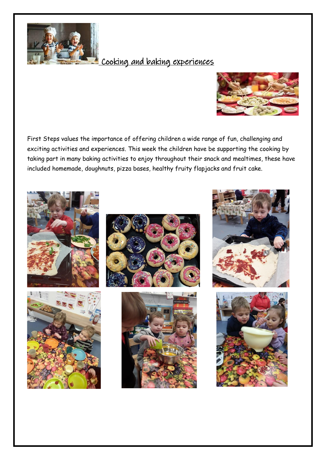

## Cooking and baking experiences



First Steps values the importance of offering children a wide range of fun, challenging and exciting activities and experiences. This week the children have be supporting the cooking by taking part in many baking activities to enjoy throughout their snack and mealtimes, these have included homemade, doughnuts, pizza bases, healthy fruity flapjacks and fruit cake.











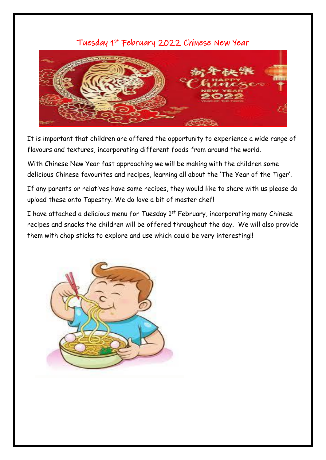#### Tuesday 1st February 2022 Chinese New Year



It is important that children are offered the opportunity to experience a wide range of flavours and textures, incorporating different foods from around the world.

With Chinese New Year fast approaching we will be making with the children some delicious Chinese favourites and recipes, learning all about the 'The Year of the Tiger'.

If any parents or relatives have some recipes, they would like to share with us please do upload these onto Tapestry. We do love a bit of master chef!

I have attached a delicious menu for Tuesday 1st February, incorporating many Chinese recipes and snacks the children will be offered throughout the day. We will also provide them with chop sticks to explore and use which could be very interesting!!

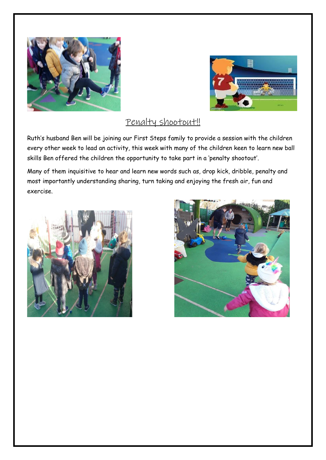



## Penalty shootout!

Ruth's husband Ben will be joining our First Steps family to provide a session with the children every other week to lead an activity, this week with many of the children keen to learn new ball skills Ben offered the children the opportunity to take part in a 'penalty shootout'.

Many of them inquisitive to hear and learn new words such as, drop kick, dribble, penalty and most importantly understanding sharing, turn taking and enjoying the fresh air, fun and exercise.



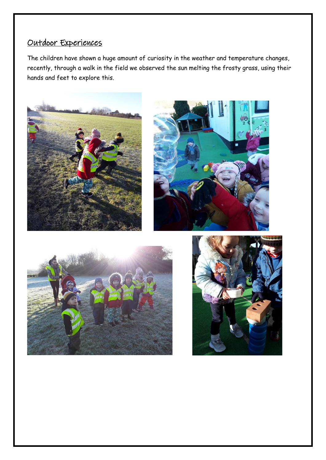## Outdoor Experiences

The children have shown a huge amount of curiosity in the weather and temperature changes, recently, through a walk in the field we observed the sun melting the frosty grass, using their hands and feet to explore this.







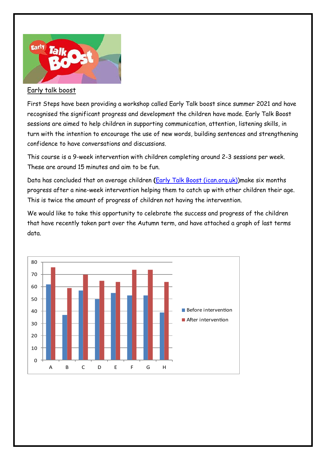

#### Early talk boost

First Steps have been providing a workshop called Early Talk boost since summer 2021 and have recognised the significant progress and development the children have made. Early Talk Boost sessions are aimed to help children in supporting communication, attention, listening skills, in turn with the intention to encourage the use of new words, building sentences and strengthening confidence to have conversations and discussions.

This course is a 9-week intervention with children completing around 2-3 sessions per week. These are around 15 minutes and aim to be fun.

Data has concluded that on average children **(**[Early Talk Boost \(ican.org.uk\)\)](https://ican.org.uk/training-licensing/i-can-programmes/early-talk-boost/)make six months progress after a nine-week intervention helping them to catch up with other children their age. This is twice the amount of progress of children not having the intervention.

We would like to take this opportunity to celebrate the success and progress of the children that have recently taken part over the Autumn term, and have attached a graph of last terms data.

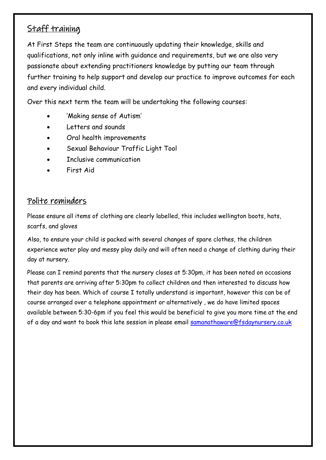## Staff training

At First Steps the team are continuously updating their knowledge, skills and qualifications, not only inline with guidance and requirements, but we are also very passionate about extending practitioners knowledge by putting our team through further training to help support and develop our practice to improve outcomes for each and every individual child.

Over this next term the team will be undertaking the following courses:

- 'Making sense of Autism'
- Letters and sounds
- Oral health improvements
- Sexual Behaviour Traffic Light Tool
- Inclusive communication
- First Aid

#### Polite reminders

Please ensure all items of clothing are clearly labelled, this includes wellington boots, hats, scarfs, and gloves

Also, to ensure your child is packed with several changes of spare clothes, the children experience water play and messy play daily and will often need a change of clothing during their day at nursery.

Please can I remind parents that the nursery closes at 5:30pm, it has been noted on occasions that parents are arriving after 5:30pm to collect children and then interested to discuss how their day has been. Which of course I totally understand is important, however this can be of course arranged over a telephone appointment or alternatively , we do have limited spaces available between 5:30-6pm if you feel this would be beneficial to give you more time at the end of a day and want to book this late session in please email samanathaware@fsdaynursery.co.uk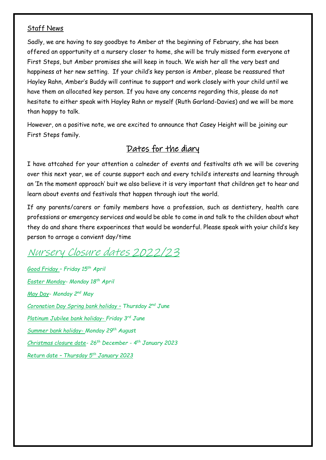#### Staff News

Sadly, we are having to say goodbye to Amber at the beginning of February, she has been offered an opportunity at a nursery closer to home, she will be truly missed form everyone at First Steps, but Amber promises she will keep in touch. We wish her all the very best and happiness at her new setting. If your child's key person is Amber, please be reassured that Hayley Rahn, Amber's Buddy will continue to support and work closely with your child until we have them an allocated key person. If you have any concerns regarding this, please do not hesitate to either speak with Hayley Rahn or myself (Ruth Garland-Davies) and we will be more than happy to talk.

However, on a positive note, we are excited to announce that Casey Height will be joining our First Steps family.

#### Dates for the diary

I have attcahed for your attention a calneder of events and festivalts ath we will be covering over this next year, we of course support each and every tchild's interests and learning through an 'In the moment approach' buit we also believe it is very important that children get to hear and learn about events and festivals that happen through iout the world.

If any parents/carers or family members have a profession, such as dentistery, health care professions or emergency services and would be able to come in and talk to the childen about what they do and share there expoerinces that would be wonderful. Please speak with yoiur child's key person to arrage a convient day/time

# Nursery Closure dates 2022/23

*Good Friday – Friday 15th April Easter Monday- Monday 18th April May Day- Monday 2nd May Coronation Day Spring bank holiday – Thursday 2nd June Platinum Jubilee bank holiday- Friday 3rd June Summer bank holiday- Monday 29th August Christmas closure date- 26th December - 4 th January 2023 Return date – Thursday 5th January 2023*